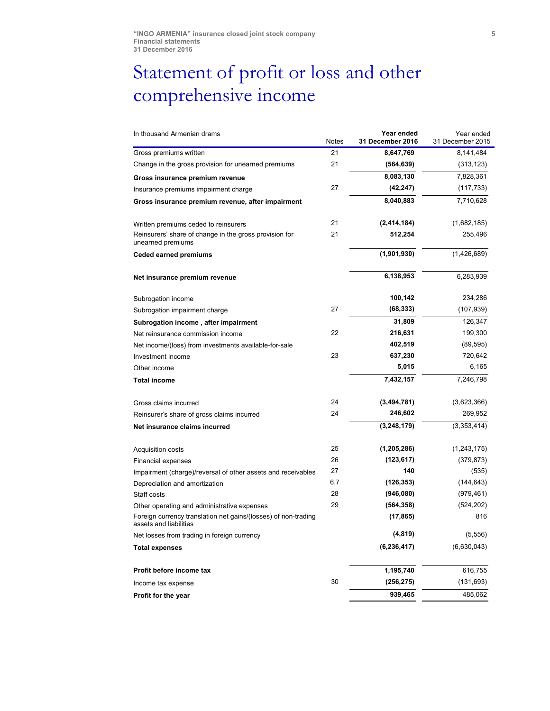## Statement of profit or loss and other comprehensive income

| In thousand Armenian drams                                                               | Notes | Year ended<br>31 December 2016 | Year ended<br>31 December 2015 |
|------------------------------------------------------------------------------------------|-------|--------------------------------|--------------------------------|
| Gross premiums written                                                                   | 21    | 8,647,769                      | 8,141,484                      |
| Change in the gross provision for unearned premiums                                      | 21    | (564, 639)                     | (313, 123)                     |
| Gross insurance premium revenue                                                          |       | 8,083,130                      | 7,828,361                      |
| Insurance premiums impairment charge                                                     | 27    | (42, 247)                      | (117, 733)                     |
| Gross insurance premium revenue, after impairment                                        |       | 8,040,883                      | 7,710,628                      |
| Written premiums ceded to reinsurers                                                     | 21    | (2,414,184)                    | (1,682,185)                    |
| Reinsurers' share of change in the gross provision for<br>unearned premiums              | 21    | 512,254                        | 255,496                        |
| <b>Ceded earned premiums</b>                                                             |       | (1,901,930)                    | (1,426,689)                    |
| Net insurance premium revenue                                                            |       | 6,138,953                      | 6,283,939                      |
| Subrogation income                                                                       |       | 100,142                        | 234,286                        |
| Subrogation impairment charge                                                            | 27    | (68, 333)                      | (107, 939)                     |
| Subrogation income, after impairment                                                     |       | 31,809                         | 126,347                        |
| Net reinsurance commission income                                                        | 22    | 216,631                        | 199,300                        |
| Net income/(loss) from investments available-for-sale                                    |       | 402,519                        | (89, 595)                      |
| Investment income                                                                        | 23    | 637,230                        | 720,642                        |
| Other income                                                                             |       | 5,015                          | 6,165                          |
| <b>Total income</b>                                                                      |       | 7,432,157                      | 7,246,798                      |
| Gross claims incurred                                                                    | 24    | (3,494,781)                    | (3,623,366)                    |
| Reinsurer's share of gross claims incurred                                               | 24    | 246,602                        | 269,952                        |
| Net insurance claims incurred                                                            |       | (3,248,179)                    | (3,353,414)                    |
| Acquisition costs                                                                        | 25    | (1,205,286)                    | (1,243,175)                    |
| Financial expenses                                                                       | 26    | (123, 617)                     | (379, 873)                     |
| Impairment (charge)/reversal of other assets and receivables                             | 27    | 140                            | (535)                          |
| Depreciation and amortization                                                            | 6,7   | (126, 353)                     | (144, 643)                     |
| Staff costs                                                                              | 28    | (946,080)                      | (979, 461)                     |
| Other operating and administrative expenses                                              | 29    | (564, 358)                     | (524, 202)                     |
| Foreign currency translation net gains/(losses) of non-trading<br>assets and liabilities |       | (17, 865)                      | 816                            |
| Net losses from trading in foreign currency                                              |       | (4, 819)                       | (5, 556)                       |
| <b>Total expenses</b>                                                                    |       | (6, 236, 417)                  | (6,630,043)                    |
| Profit before income tax                                                                 |       | 1,195,740                      | 616,755                        |
| Income tax expense                                                                       | 30    | (256, 275)                     | (131, 693)                     |
| Profit for the year                                                                      |       | 939,465                        | 485,062                        |